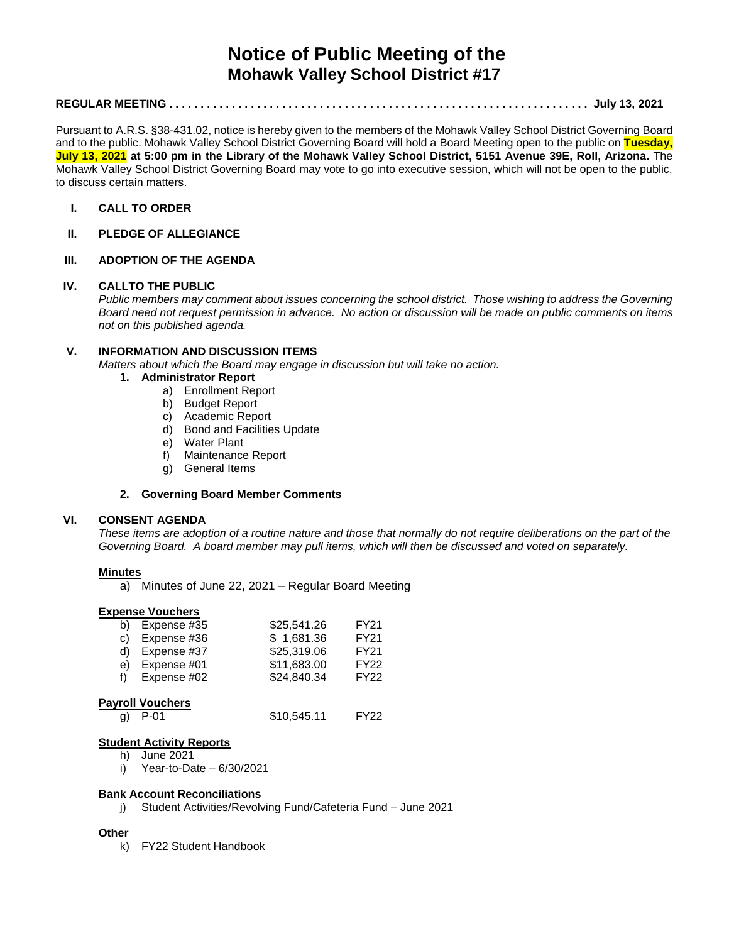# **Notice of Public Meeting of the Mohawk Valley School District #17**

# **REGULAR MEETING . . . . . . . . . . . . . . . . . . . . . . . . . . . . . . . . . . . . . . . . . . . . . . . . . . . . . . . . . . . . . . . . . . . July 13, 2021**

Pursuant to A.R.S. §38-431.02, notice is hereby given to the members of the Mohawk Valley School District Governing Board and to the public. Mohawk Valley School District Governing Board will hold a Board Meeting open to the public on **Tuesday, July 13, 2021 at 5:00 pm in the Library of the Mohawk Valley School District, 5151 Avenue 39E, Roll, Arizona.** The Mohawk Valley School District Governing Board may vote to go into executive session, which will not be open to the public, to discuss certain matters.

## **I. CALL TO ORDER**

## **II. PLEDGE OF ALLEGIANCE**

## **III. ADOPTION OF THE AGENDA**

#### **IV. CALLTO THE PUBLIC**

*Public members may comment about issues concerning the school district. Those wishing to address the Governing Board need not request permission in advance. No action or discussion will be made on public comments on items not on this published agenda.*

#### **V. INFORMATION AND DISCUSSION ITEMS**

*Matters about which the Board may engage in discussion but will take no action.* 

#### **1. Administrator Report**

- a) Enrollment Report
- b) Budget Report
- c) Academic Report
- d) Bond and Facilities Update
- e) Water Plant
- f) Maintenance Report
- g) General Items

#### **2. Governing Board Member Comments**

#### **VI. CONSENT AGENDA**

*These items are adoption of a routine nature and those that normally do not require deliberations on the part of the Governing Board. A board member may pull items, which will then be discussed and voted on separately.*

#### **Minutes**

a) Minutes of June 22, 2021 – Regular Board Meeting

# **Expense Vouchers**

|    | b) Expense $#35$ | \$25,541.26 | FY21        |
|----|------------------|-------------|-------------|
| C) | Expense #36      | \$1,681.36  | <b>FY21</b> |
|    | d) Expense #37   | \$25,319.06 | <b>FY21</b> |
| e) | Expense #01      | \$11,683.00 | <b>FY22</b> |
| f) | Expense #02      | \$24,840.34 | <b>FY22</b> |

#### **Payroll Vouchers**

| g) P-01 | \$10,545.11 | FY22 |
|---------|-------------|------|
|         |             |      |

# **Student Activity Reports**

h) June 2021

i) Year-to-Date  $-6/30/2021$ 

#### **Bank Account Reconciliations**

j) Student Activities/Revolving Fund/Cafeteria Fund – June 2021

# **Other**

k) FY22 Student Handbook